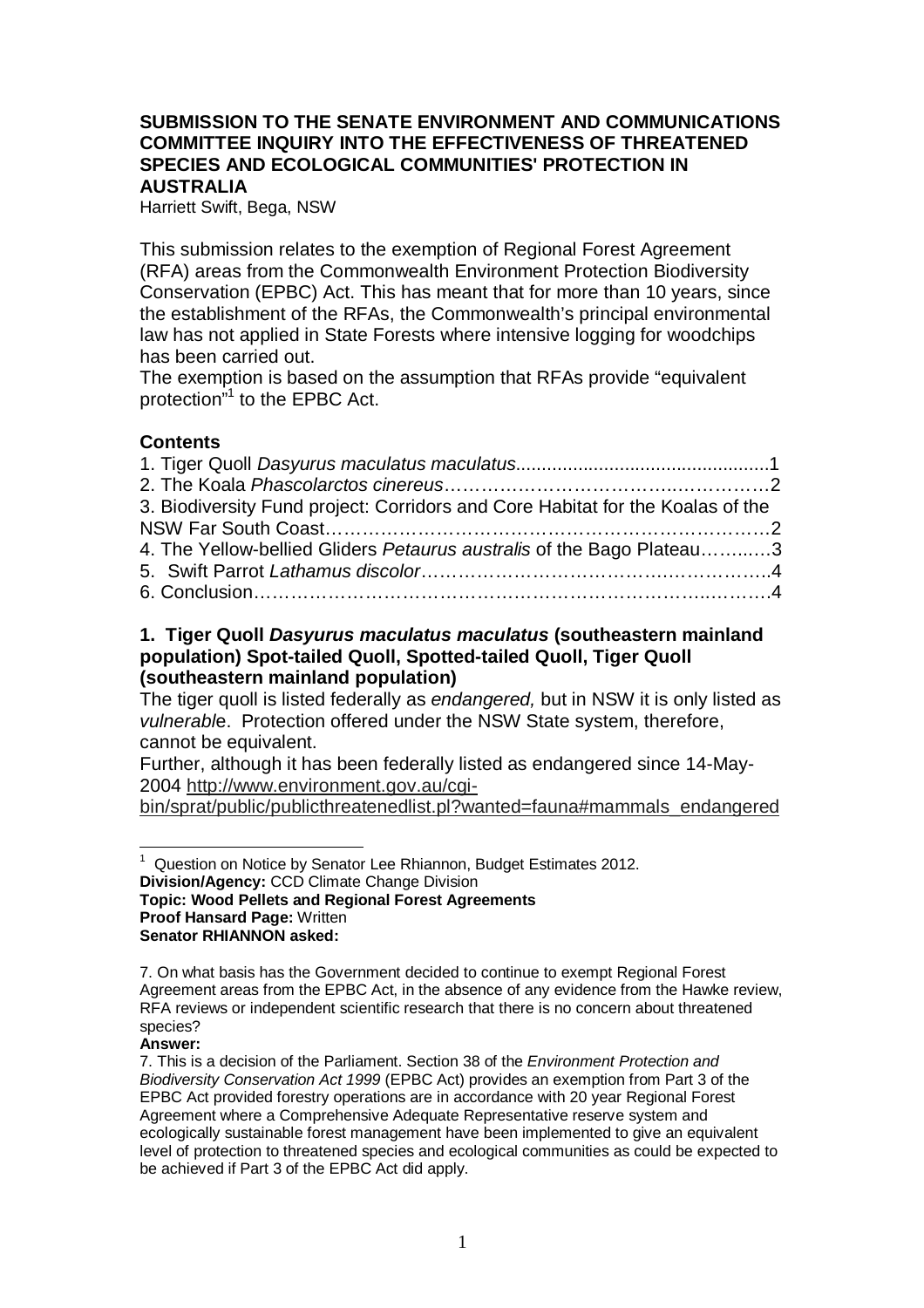#### **SUBMISSION TO THE SENATE ENVIRONMENT AND COMMUNICATIONS COMMITTEE INQUIRY INTO THE EFFECTIVENESS OF THREATENED SPECIES AND ECOLOGICAL COMMUNITIES' PROTECTION IN AUSTRALIA**

Harriett Swift, Bega, NSW

This submission relates to the exemption of Regional Forest Agreement (RFA) areas from the Commonwealth Environment Protection Biodiversity Conservation (EPBC) Act. This has meant that for more than 10 years, since the establishment of the RFAs, the Commonwealth's principal environmental law has not applied in State Forests where intensive logging for woodchips has been carried out.

The exemption is based on the assumption that RFAs provide "equivalent protection"<sup>1</sup> to the EPBC Act.

#### **Contents**

| 3. Biodiversity Fund project: Corridors and Core Habitat for the Koalas of the |  |
|--------------------------------------------------------------------------------|--|
|                                                                                |  |
| 4. The Yellow-bellied Gliders Petaurus australis of the Bago Plateau3          |  |
|                                                                                |  |
|                                                                                |  |

#### **1. Tiger Quoll Dasyurus maculatus maculatus (southeastern mainland population) Spot-tailed Quoll, Spotted-tailed Quoll, Tiger Quoll (southeastern mainland population)**

The tiger quoll is listed federally as endangered, but in NSW it is only listed as vulnerable. Protection offered under the NSW State system, therefore, cannot be equivalent.

Further, although it has been federally listed as endangered since 14-May-2004 http://www.environment.gov.au/cgi-

bin/sprat/public/publicthreatenedlist.pl?wanted=fauna#mammals\_endangered

1 Question on Notice by Senator Lee Rhiannon, Budget Estimates 2012. **Division/Agency:** CCD Climate Change Division **Topic: Wood Pellets and Regional Forest Agreements Proof Hansard Page:** Written

**Senator RHIANNON asked:**

#### **Answer:**

 $\overline{a}$ 

<sup>7.</sup> On what basis has the Government decided to continue to exempt Regional Forest Agreement areas from the EPBC Act, in the absence of any evidence from the Hawke review, RFA reviews or independent scientific research that there is no concern about threatened species?

<sup>7.</sup> This is a decision of the Parliament. Section 38 of the Environment Protection and Biodiversity Conservation Act 1999 (EPBC Act) provides an exemption from Part 3 of the EPBC Act provided forestry operations are in accordance with 20 year Regional Forest Agreement where a Comprehensive Adequate Representative reserve system and ecologically sustainable forest management have been implemented to give an equivalent level of protection to threatened species and ecological communities as could be expected to be achieved if Part 3 of the EPBC Act did apply.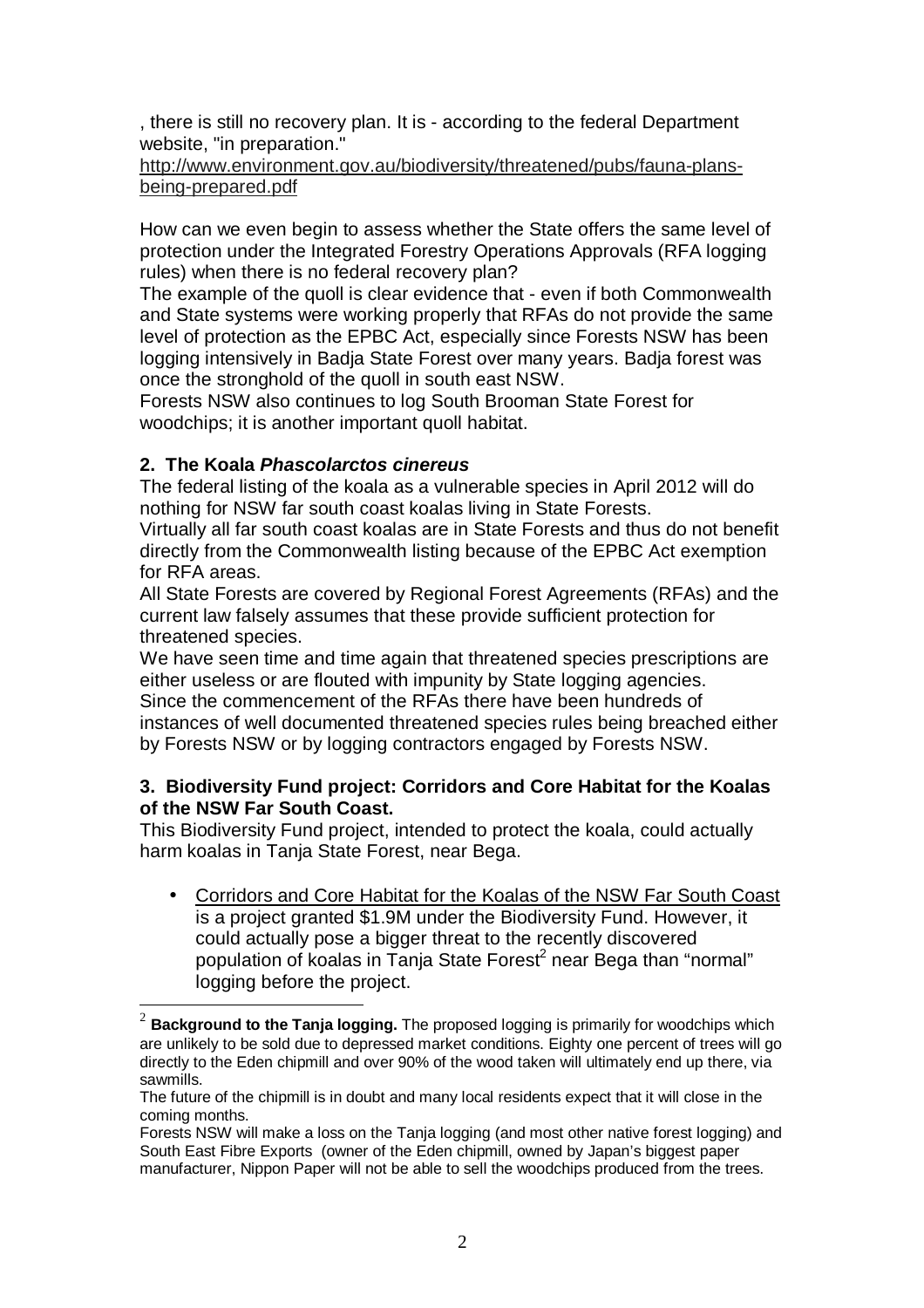, there is still no recovery plan. It is - according to the federal Department website, "in preparation."

#### http://www.environment.gov.au/biodiversity/threatened/pubs/fauna-plansbeing-prepared.pdf

How can we even begin to assess whether the State offers the same level of protection under the Integrated Forestry Operations Approvals (RFA logging rules) when there is no federal recovery plan?

The example of the quoll is clear evidence that - even if both Commonwealth and State systems were working properly that RFAs do not provide the same level of protection as the EPBC Act, especially since Forests NSW has been logging intensively in Badja State Forest over many years. Badja forest was once the stronghold of the quoll in south east NSW.

Forests NSW also continues to log South Brooman State Forest for woodchips; it is another important quoll habitat.

#### **2. The Koala Phascolarctos cinereus**

 $\overline{a}$ 

The federal listing of the koala as a vulnerable species in April 2012 will do nothing for NSW far south coast koalas living in State Forests.

Virtually all far south coast koalas are in State Forests and thus do not benefit directly from the Commonwealth listing because of the EPBC Act exemption for RFA areas.

All State Forests are covered by Regional Forest Agreements (RFAs) and the current law falsely assumes that these provide sufficient protection for threatened species.

We have seen time and time again that threatened species prescriptions are either useless or are flouted with impunity by State logging agencies. Since the commencement of the RFAs there have been hundreds of instances of well documented threatened species rules being breached either by Forests NSW or by logging contractors engaged by Forests NSW.

#### **3. Biodiversity Fund project: Corridors and Core Habitat for the Koalas of the NSW Far South Coast.**

This Biodiversity Fund project, intended to protect the koala, could actually harm koalas in Tanja State Forest, near Bega.

• Corridors and Core Habitat for the Koalas of the NSW Far South Coast is a project granted \$1.9M under the Biodiversity Fund. However, it could actually pose a bigger threat to the recently discovered population of koalas in Tanja State Forest<sup>2</sup> near Bega than "normal" logging before the project.

<sup>2</sup> **Background to the Tanja logging.** The proposed logging is primarily for woodchips which are unlikely to be sold due to depressed market conditions. Eighty one percent of trees will go directly to the Eden chipmill and over 90% of the wood taken will ultimately end up there, via sawmills.

The future of the chipmill is in doubt and many local residents expect that it will close in the coming months.

Forests NSW will make a loss on the Tanja logging (and most other native forest logging) and South East Fibre Exports (owner of the Eden chipmill, owned by Japan's biggest paper manufacturer, Nippon Paper will not be able to sell the woodchips produced from the trees.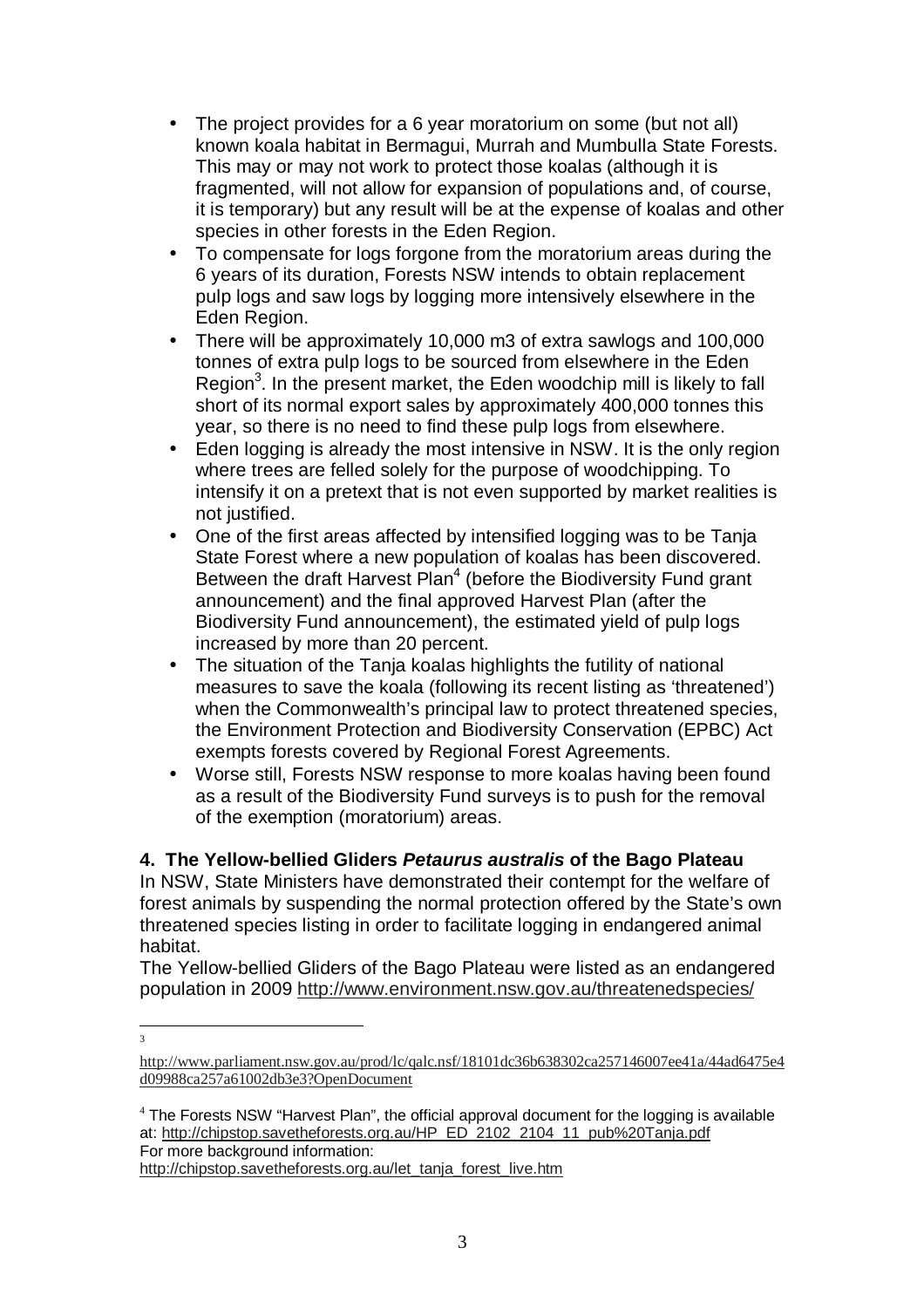- The project provides for a 6 year moratorium on some (but not all) known koala habitat in Bermagui, Murrah and Mumbulla State Forests. This may or may not work to protect those koalas (although it is fragmented, will not allow for expansion of populations and, of course, it is temporary) but any result will be at the expense of koalas and other species in other forests in the Eden Region.
- To compensate for logs forgone from the moratorium areas during the 6 years of its duration, Forests NSW intends to obtain replacement pulp logs and saw logs by logging more intensively elsewhere in the Eden Region.
- There will be approximately 10,000 m3 of extra sawlogs and 100,000 tonnes of extra pulp logs to be sourced from elsewhere in the Eden Region<sup>3</sup>. In the present market, the Eden woodchip mill is likely to fall short of its normal export sales by approximately 400,000 tonnes this year, so there is no need to find these pulp logs from elsewhere.
- Eden logging is already the most intensive in NSW. It is the only region where trees are felled solely for the purpose of woodchipping. To intensify it on a pretext that is not even supported by market realities is not justified.
- One of the first areas affected by intensified logging was to be Tanja State Forest where a new population of koalas has been discovered. Between the draft Harvest Plan<sup>4</sup> (before the Biodiversity Fund grant announcement) and the final approved Harvest Plan (after the Biodiversity Fund announcement), the estimated yield of pulp logs increased by more than 20 percent.
- The situation of the Tanja koalas highlights the futility of national measures to save the koala (following its recent listing as 'threatened') when the Commonwealth's principal law to protect threatened species, the Environment Protection and Biodiversity Conservation (EPBC) Act exempts forests covered by Regional Forest Agreements.
- Worse still, Forests NSW response to more koalas having been found as a result of the Biodiversity Fund surveys is to push for the removal of the exemption (moratorium) areas.

**4. The Yellow-bellied Gliders Petaurus australis of the Bago Plateau** 

In NSW, State Ministers have demonstrated their contempt for the welfare of forest animals by suspending the normal protection offered by the State's own threatened species listing in order to facilitate logging in endangered animal habitat.

The Yellow-bellied Gliders of the Bago Plateau were listed as an endangered population in 2009 http://www.environment.nsw.gov.au/threatenedspecies/

 $\overline{a}$ 3

http://www.parliament.nsw.gov.au/prod/lc/qalc.nsf/18101dc36b638302ca257146007ee41a/44ad6475e4 d09988ca257a61002db3e3?OpenDocument

<sup>&</sup>lt;sup>4</sup> The Forests NSW "Harvest Plan", the official approval document for the logging is available at: http://chipstop.savetheforests.org.au/HP\_ED\_2102\_2104\_11\_pub%20Tanja.pdf For more background information:

http://chipstop.savetheforests.org.au/let\_tanja\_forest\_live.htm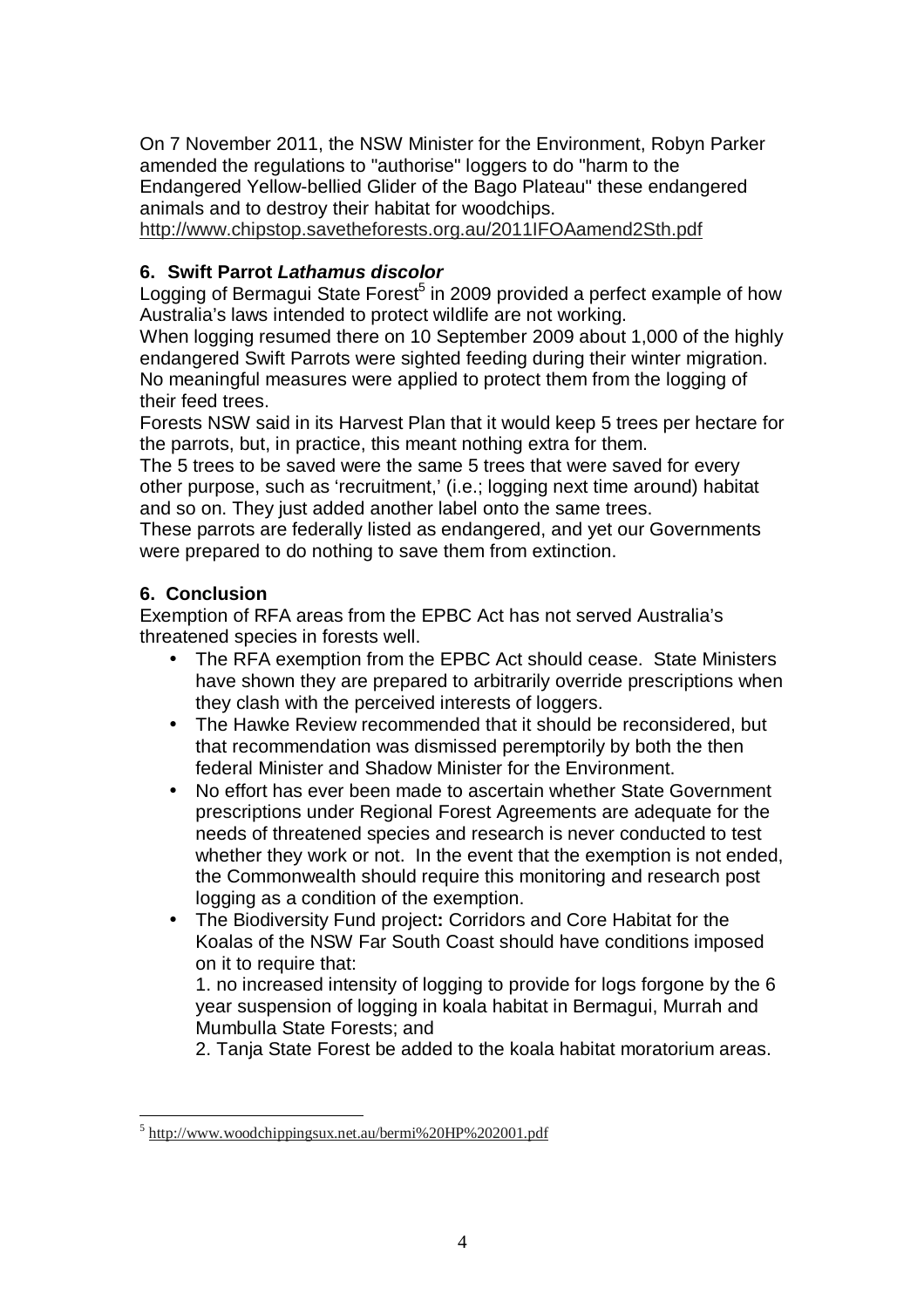On 7 November 2011, the NSW Minister for the Environment, Robyn Parker amended the regulations to "authorise" loggers to do "harm to the Endangered Yellow-bellied Glider of the Bago Plateau" these endangered animals and to destroy their habitat for woodchips.

http://www.chipstop.savetheforests.org.au/2011IFOAamend2Sth.pdf

## **6. Swift Parrot Lathamus discolor**

Logging of Bermagui State Forest<sup>5</sup> in 2009 provided a perfect example of how Australia's laws intended to protect wildlife are not working.

When logging resumed there on 10 September 2009 about 1,000 of the highly endangered Swift Parrots were sighted feeding during their winter migration. No meaningful measures were applied to protect them from the logging of their feed trees.

Forests NSW said in its Harvest Plan that it would keep 5 trees per hectare for the parrots, but, in practice, this meant nothing extra for them.

The 5 trees to be saved were the same 5 trees that were saved for every other purpose, such as 'recruitment,' (i.e.; logging next time around) habitat and so on. They just added another label onto the same trees.

These parrots are federally listed as endangered, and yet our Governments were prepared to do nothing to save them from extinction.

## **6. Conclusion**

Exemption of RFA areas from the EPBC Act has not served Australia's threatened species in forests well.

- The RFA exemption from the EPBC Act should cease. State Ministers have shown they are prepared to arbitrarily override prescriptions when they clash with the perceived interests of loggers.
- The Hawke Review recommended that it should be reconsidered, but that recommendation was dismissed peremptorily by both the then federal Minister and Shadow Minister for the Environment.
- No effort has ever been made to ascertain whether State Government prescriptions under Regional Forest Agreements are adequate for the needs of threatened species and research is never conducted to test whether they work or not. In the event that the exemption is not ended, the Commonwealth should require this monitoring and research post logging as a condition of the exemption.
- The Biodiversity Fund project**:** Corridors and Core Habitat for the Koalas of the NSW Far South Coast should have conditions imposed on it to require that:

1. no increased intensity of logging to provide for logs forgone by the 6 year suspension of logging in koala habitat in Bermagui, Murrah and Mumbulla State Forests; and

2. Tanja State Forest be added to the koala habitat moratorium areas.

 $\overline{a}$ <sup>5</sup> http://www.woodchippingsux.net.au/bermi%20HP%202001.pdf